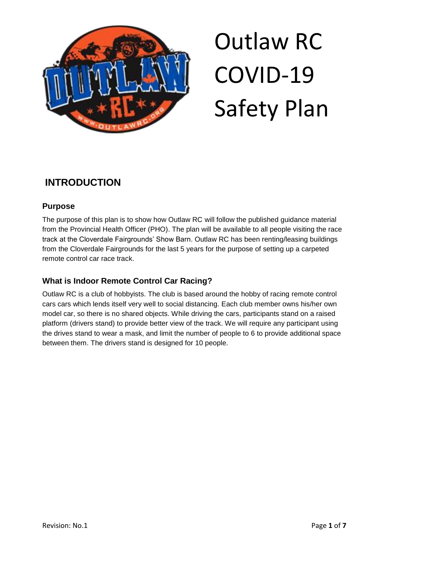

### **INTRODUCTION**

### **Purpose**

The purpose of this plan is to show how Outlaw RC will follow the published guidance material from the Provincial Health Officer (PHO). The plan will be available to all people visiting the race track at the Cloverdale Fairgrounds' Show Barn. Outlaw RC has been renting/leasing buildings from the Cloverdale Fairgrounds for the last 5 years for the purpose of setting up a carpeted remote control car race track.

### **What is Indoor Remote Control Car Racing?**

Outlaw RC is a club of hobbyists. The club is based around the hobby of racing remote control cars cars which lends itself very well to social distancing. Each club member owns his/her own model car, so there is no shared objects. While driving the cars, participants stand on a raised platform (drivers stand) to provide better view of the track. We will require any participant using the drives stand to wear a mask, and limit the number of people to 6 to provide additional space between them. The drivers stand is designed for 10 people.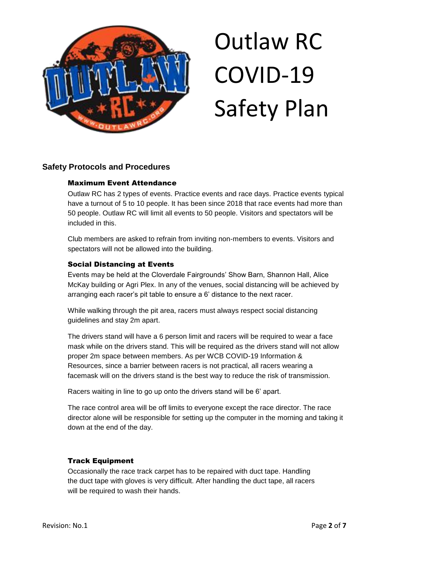

#### **Safety Protocols and Procedures**

#### Maximum Event Attendance

Outlaw RC has 2 types of events. Practice events and race days. Practice events typical have a turnout of 5 to 10 people. It has been since 2018 that race events had more than 50 people. Outlaw RC will limit all events to 50 people. Visitors and spectators will be included in this.

Club members are asked to refrain from inviting non-members to events. Visitors and spectators will not be allowed into the building.

#### Social Distancing at Events

Events may be held at the Cloverdale Fairgrounds' Show Barn, Shannon Hall, Alice McKay building or Agri Plex. In any of the venues, social distancing will be achieved by arranging each racer's pit table to ensure a 6' distance to the next racer.

While walking through the pit area, racers must always respect social distancing guidelines and stay 2m apart.

The drivers stand will have a 6 person limit and racers will be required to wear a face mask while on the drivers stand. This will be required as the drivers stand will not allow proper 2m space between members. As per WCB COVID-19 Information & Resources, since a barrier between racers is not practical, all racers wearing a facemask will on the drivers stand is the best way to reduce the risk of transmission.

Racers waiting in line to go up onto the drivers stand will be 6' apart.

The race control area will be off limits to everyone except the race director. The race director alone will be responsible for setting up the computer in the morning and taking it down at the end of the day.

#### Track Equipment

Occasionally the race track carpet has to be repaired with duct tape. Handling the duct tape with gloves is very difficult. After handling the duct tape, all racers will be required to wash their hands.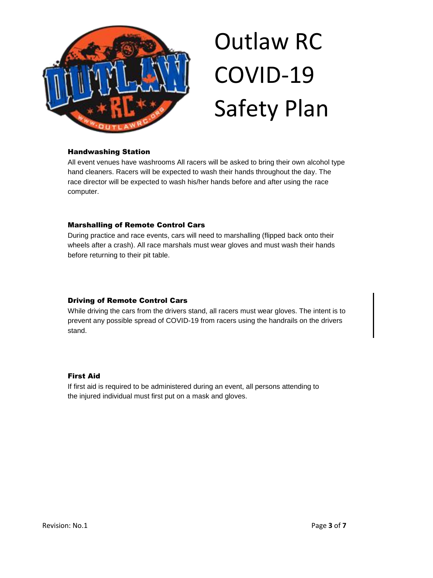

#### Handwashing Station

All event venues have washrooms All racers will be asked to bring their own alcohol type hand cleaners. Racers will be expected to wash their hands throughout the day. The race director will be expected to wash his/her hands before and after using the race computer.

#### Marshalling of Remote Control Cars

During practice and race events, cars will need to marshalling (flipped back onto their wheels after a crash). All race marshals must wear gloves and must wash their hands before returning to their pit table.

#### Driving of Remote Control Cars

While driving the cars from the drivers stand, all racers must wear gloves. The intent is to prevent any possible spread of COVID-19 from racers using the handrails on the drivers stand.

#### First Aid

If first aid is required to be administered during an event, all persons attending to the injured individual must first put on a mask and gloves.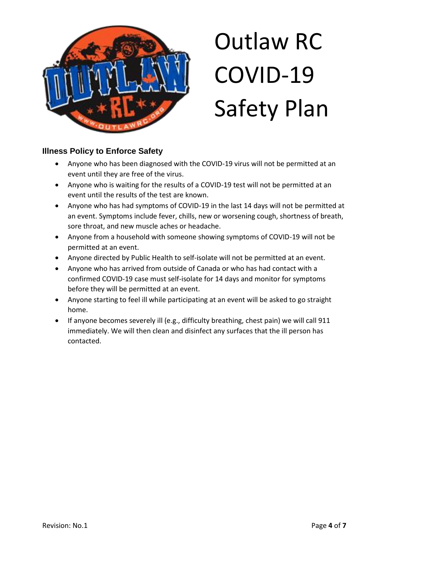

### **Illness Policy to Enforce Safety**

- Anyone who has been diagnosed with the COVID-19 virus will not be permitted at an event until they are free of the virus.
- Anyone who is waiting for the results of a COVID-19 test will not be permitted at an event until the results of the test are known.
- Anyone who has had symptoms of COVID-19 in the last 14 days will not be permitted at an event. Symptoms include fever, chills, new or worsening cough, shortness of breath, sore throat, and new muscle aches or headache.
- Anyone from a household with someone showing symptoms of COVID-19 will not be permitted at an event.
- Anyone directed by Public Health to self-isolate will not be permitted at an event.
- Anyone who has arrived from outside of Canada or who has had contact with a confirmed COVID-19 case must self-isolate for 14 days and monitor for symptoms before they will be permitted at an event.
- Anyone starting to feel ill while participating at an event will be asked to go straight home.
- If anyone becomes severely ill (e.g., difficulty breathing, chest pain) we will call 911 immediately. We will then clean and disinfect any surfaces that the ill person has contacted.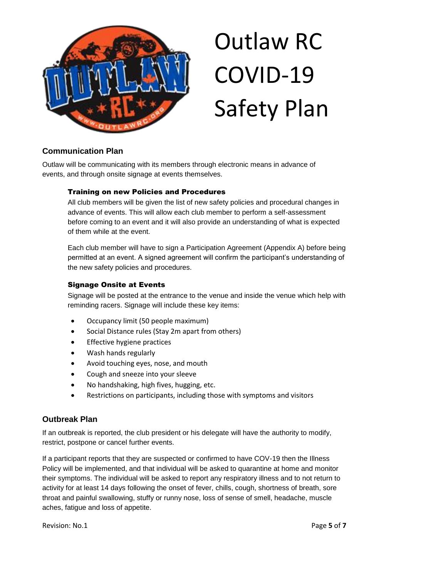

### **Communication Plan**

Outlaw will be communicating with its members through electronic means in advance of events, and through onsite signage at events themselves.

#### Training on new Policies and Procedures

All club members will be given the list of new safety policies and procedural changes in advance of events. This will allow each club member to perform a self-assessment before coming to an event and it will also provide an understanding of what is expected of them while at the event.

Each club member will have to sign a Participation Agreement (Appendix A) before being permitted at an event. A signed agreement will confirm the participant's understanding of the new safety policies and procedures.

#### Signage Onsite at Events

Signage will be posted at the entrance to the venue and inside the venue which help with reminding racers. Signage will include these key items:

- Occupancy limit (50 people maximum)
- Social Distance rules (Stay 2m apart from others)
- Effective hygiene practices
- Wash hands regularly
- Avoid touching eyes, nose, and mouth
- Cough and sneeze into your sleeve
- No handshaking, high fives, hugging, etc.
- Restrictions on participants, including those with symptoms and visitors

### **Outbreak Plan**

If an outbreak is reported, the club president or his delegate will have the authority to modify, restrict, postpone or cancel further events.

If a participant reports that they are suspected or confirmed to have COV-19 then the Illness Policy will be implemented, and that individual will be asked to quarantine at home and monitor their symptoms. The individual will be asked to report any respiratory illness and to not return to activity for at least 14 days following the onset of fever, chills, cough, shortness of breath, sore throat and painful swallowing, stuffy or runny nose, loss of sense of smell, headache, muscle aches, fatigue and loss of appetite.

Revision: No.1 **Page 5** of **7**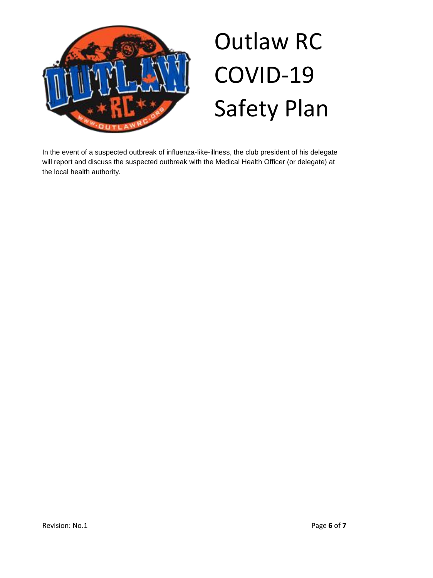

In the event of a suspected outbreak of influenza-like-illness, the club president of his delegate will report and discuss the suspected outbreak with the Medical Health Officer (or delegate) at the local health authority.